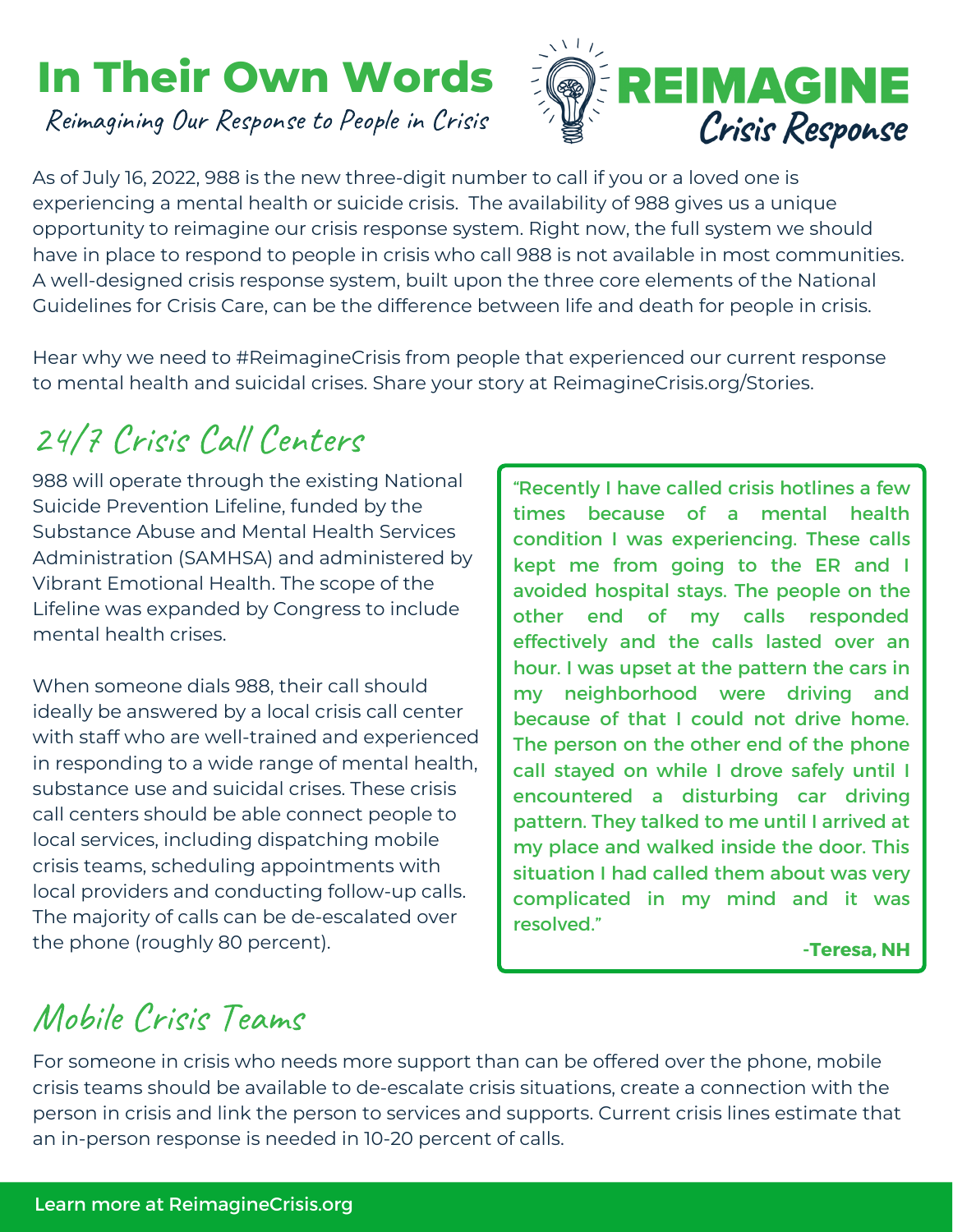## **In Their Own Words**

Reimagining Our Response to People in Crisis



As of July 16, 2022, 988 is the new three-digit number to call if you or a loved one is experiencing a mental health or suicide crisis. The availability of 988 gives us a unique opportunity to reimagine our crisis response system. Right now, the full system we should have in place to respond to people in crisis who call 988 is not available in most communities. A well-designed crisis response system, built upon the three core elements of the National Guidelines for Crisis Care, can be the difference between life and death for people in crisis.

Hear why we need to #ReimagineCrisis from people that experienced our current response to mental health and suicidal crises. Share your story at ReimagineCrisis.org/Stories.

## 24/7 Crisis Call Centers

988 will operate through the existing National Suicide Prevention Lifeline, funded by the Substance Abuse and Mental Health Services Administration (SAMHSA) and administered by Vibrant Emotional Health. The scope of the Lifeline was expanded by Congress to include mental health crises.

When someone dials 988, their call should ideally be answered by a local crisis call center with staff who are well-trained and experienced in responding to a wide range of mental health, substance use and suicidal crises. These crisis call centers should be able connect people to local services, including dispatching mobile crisis teams, scheduling appointments with local providers and conducting follow-up calls. The majority of calls can be de-escalated over the phone (roughly 80 percent).

"Recently I have called crisis hotlines a few times because of a mental health condition I was experiencing. These calls kept me from going to the ER and I avoided hospital stays. The people on the other end of my calls responded effectively and the calls lasted over an hour. I was upset at the pattern the cars in my neighborhood were driving and because of that I could not drive home. The person on the other end of the phone call stayed on while I drove safely until I encountered a disturbing car driving pattern. They talked to me until I arrived at my place and walked inside the door. This situation I had called them about was very complicated in my mind and it was resolved."

**-Teresa, NH**

## Mobile Crisis Teams

For someone in crisis who needs more support than can be offered over the phone, mobile crisis teams should be available to de-escalate crisis situations, create a connection with the person in crisis and link the person to services and supports. Current crisis lines estimate that an in-person response is needed in 10-20 percent of calls.